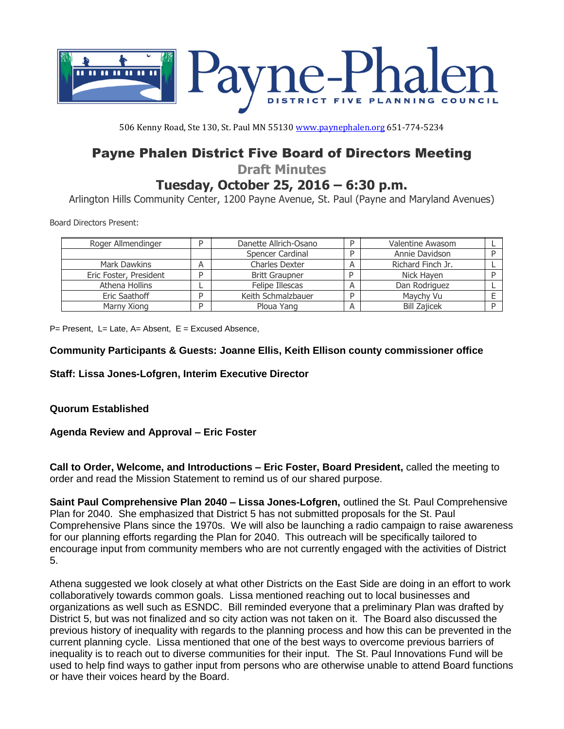

506 Kenny Road, Ste 130, St. Paul MN 55130 [www.paynephalen.org](http://www.paynephalen.org/) 651-774-5234

# Payne Phalen District Five Board of Directors Meeting

**Draft Minutes**

**Tuesday, October 25, 2016 – 6:30 p.m.**

Arlington Hills Community Center, 1200 Payne Avenue, St. Paul (Payne and Maryland Avenues)

Board Directors Present:

| Roger Allmendinger     |   | Danette Allrich-Osano |   | <b>Valentine Awasom</b> |  |
|------------------------|---|-----------------------|---|-------------------------|--|
|                        |   | Spencer Cardinal      | D | Annie Davidson          |  |
| Mark Dawkins           | A | <b>Charles Dexter</b> |   | Richard Finch Jr.       |  |
| Eric Foster, President |   | <b>Britt Graupner</b> | D | Nick Hayen              |  |
| Athena Hollins         |   | Felipe Illescas       | А | Dan Rodriguez           |  |
| Eric Saathoff          |   | Keith Schmalzbauer    | D | Maychy Vu               |  |
| Marny Xiong            |   | Ploua Yang            |   | <b>Bill Zajicek</b>     |  |

 $P=$  Present, L= Late, A= Absent, E = Excused Absence,

### **Community Participants & Guests: Joanne Ellis, Keith Ellison county commissioner office**

**Staff: Lissa Jones-Lofgren, Interim Executive Director** 

# **Quorum Established**

# **Agenda Review and Approval – Eric Foster**

**Call to Order, Welcome, and Introductions – Eric Foster, Board President,** called the meeting to order and read the Mission Statement to remind us of our shared purpose.

**Saint Paul Comprehensive Plan 2040 – Lissa Jones-Lofgren,** outlined the St. Paul Comprehensive Plan for 2040. She emphasized that District 5 has not submitted proposals for the St. Paul Comprehensive Plans since the 1970s. We will also be launching a radio campaign to raise awareness for our planning efforts regarding the Plan for 2040. This outreach will be specifically tailored to encourage input from community members who are not currently engaged with the activities of District 5.

Athena suggested we look closely at what other Districts on the East Side are doing in an effort to work collaboratively towards common goals. Lissa mentioned reaching out to local businesses and organizations as well such as ESNDC. Bill reminded everyone that a preliminary Plan was drafted by District 5, but was not finalized and so city action was not taken on it. The Board also discussed the previous history of inequality with regards to the planning process and how this can be prevented in the current planning cycle. Lissa mentioned that one of the best ways to overcome previous barriers of inequality is to reach out to diverse communities for their input. The St. Paul Innovations Fund will be used to help find ways to gather input from persons who are otherwise unable to attend Board functions or have their voices heard by the Board.